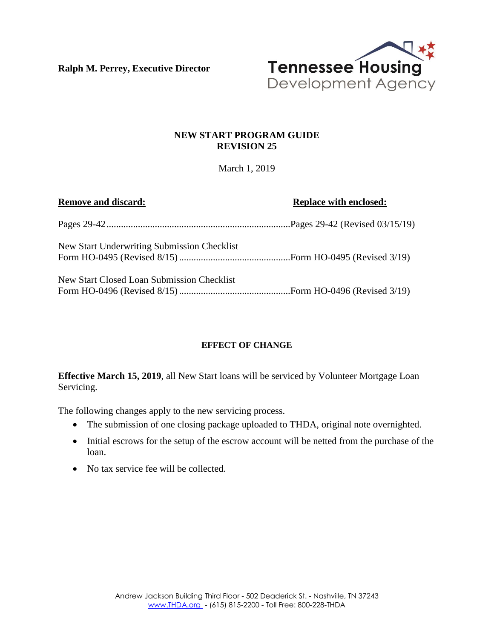**Ralph M. Perrey, Executive Director**



## **NEW START PROGRAM GUIDE REVISION 25**

March 1, 2019

| <b>Remove and discard:</b>                  | <b>Replace with enclosed:</b> |
|---------------------------------------------|-------------------------------|
|                                             |                               |
| New Start Underwriting Submission Checklist |                               |
| New Start Closed Loan Submission Checklist  |                               |

## **EFFECT OF CHANGE**

**Effective March 15, 2019**, all New Start loans will be serviced by Volunteer Mortgage Loan Servicing.

The following changes apply to the new servicing process.

- The submission of one closing package uploaded to THDA, original note overnighted.
- Initial escrows for the setup of the escrow account will be netted from the purchase of the loan.
- No tax service fee will be collected.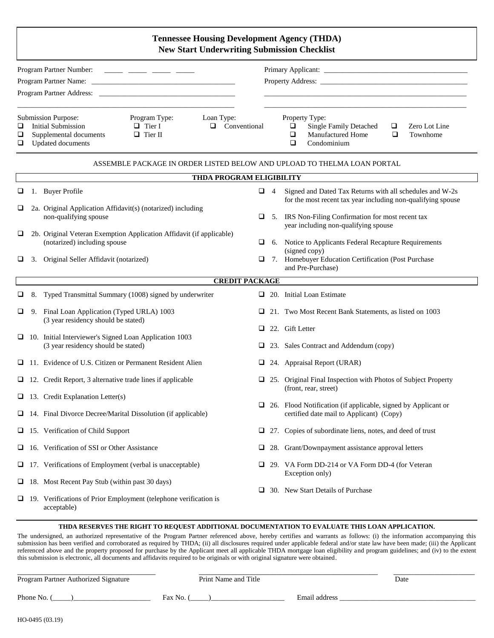### **Tennessee Housing Development Agency (THDA) New Start Underwriting Submission Checklist**

|                                                                                                                                  | Program Partner Number:<br>Program Partner Address: New York 1988. |                                      |   |                                                                                     |        |                           |
|----------------------------------------------------------------------------------------------------------------------------------|--------------------------------------------------------------------|--------------------------------------|---|-------------------------------------------------------------------------------------|--------|---------------------------|
| <b>Submission Purpose:</b><br>Initial Submission<br>$\Box$<br>Supplemental documents<br>Q.<br><b>Updated documents</b><br>$\Box$ | Program Type:<br>$\Box$ Tier I<br>$\Box$ Tier II                   | Loan Type:<br>Conventional<br>$\Box$ | □ | Property Type:<br><b>Single Family Detached</b><br>Manufactured Home<br>Condominium | □<br>□ | Zero Lot Line<br>Townhome |
|                                                                                                                                  |                                                                    | <b>THDA PROGRAM ELIGIBILITY</b>      |   | ASSEMBLE PACKAGE IN ORDER LISTED BELOW AND UPLOAD TO THELMA LOAN PORTAL             |        |                           |

|        | THDA PROGRAM ELIGIBILITY |                                                                                                      |        |                |                                                                                                                          |  |  |  |
|--------|--------------------------|------------------------------------------------------------------------------------------------------|--------|----------------|--------------------------------------------------------------------------------------------------------------------------|--|--|--|
| ❏      |                          | 1. Buyer Profile                                                                                     | ❏      | $\overline{4}$ | Signed and Dated Tax Returns with all schedules and W-2s<br>for the most recent tax year including non-qualifying spouse |  |  |  |
| Q      |                          | 2a. Original Application Affidavit(s) (notarized) including<br>non-qualifying spouse                 | $\Box$ |                | 5. IRS Non-Filing Confirmation for most recent tax<br>year including non-qualifying spouse                               |  |  |  |
| u      |                          | 2b. Original Veteran Exemption Application Affidavit (if applicable)<br>(notarized) including spouse | ⊔      |                | 6. Notice to Applicants Federal Recapture Requirements<br>(signed copy)                                                  |  |  |  |
| Q      | 3.                       | Original Seller Affidavit (notarized)                                                                | □      |                | 7. Homebuyer Education Certification (Post Purchase<br>and Pre-Purchase)                                                 |  |  |  |
|        |                          | <b>CREDIT PACKAGE</b>                                                                                |        |                |                                                                                                                          |  |  |  |
| $\Box$ | 8.                       | Typed Transmittal Summary (1008) signed by underwriter                                               | u.     |                | 20. Initial Loan Estimate                                                                                                |  |  |  |
| ❏      | 9.                       | Final Loan Application (Typed URLA) 1003<br>(3 year residency should be stated)                      | □      |                | 21. Two Most Recent Bank Statements, as listed on 1003                                                                   |  |  |  |
|        |                          |                                                                                                      | □      |                | 22. Gift Letter                                                                                                          |  |  |  |
|        |                          | $\Box$ 10. Initial Interviewer's Signed Loan Application 1003<br>(3 year residency should be stated) | u      |                | 23. Sales Contract and Addendum (copy)                                                                                   |  |  |  |
| o.     |                          | 11. Evidence of U.S. Citizen or Permanent Resident Alien                                             | ⊔      |                | 24. Appraisal Report (URAR)                                                                                              |  |  |  |
| u      |                          | 12. Credit Report, 3 alternative trade lines if applicable                                           | ப      |                | 25. Original Final Inspection with Photos of Subject Property<br>(front, rear, street)                                   |  |  |  |
| ⊔      |                          | 13. Credit Explanation Letter(s)                                                                     |        |                |                                                                                                                          |  |  |  |
| ⊔      |                          | 14. Final Divorce Decree/Marital Dissolution (if applicable)                                         | ⊔      |                | 26. Flood Notification (if applicable, signed by Applicant or<br>certified date mail to Applicant) (Copy)                |  |  |  |
| ⊔      |                          | 15. Verification of Child Support                                                                    | ❏      |                | 27. Copies of subordinate liens, notes, and deed of trust                                                                |  |  |  |
| u      |                          | 16. Verification of SSI or Other Assistance                                                          | u      |                | 28. Grant/Downpayment assistance approval letters                                                                        |  |  |  |
| ⊔      |                          | 17. Verifications of Employment (verbal is unacceptable)                                             | ⊔      |                | 29. VA Form DD-214 or VA Form DD-4 (for Veteran<br>Exception only)                                                       |  |  |  |
| □      |                          | 18. Most Recent Pay Stub (within past 30 days)                                                       | ப      |                | 30. New Start Details of Purchase                                                                                        |  |  |  |
| o.     |                          | 19. Verifications of Prior Employment (telephone verification is<br>acceptable)                      |        |                |                                                                                                                          |  |  |  |

#### **THDA RESERVES THE RIGHT TO REQUEST ADDITIONAL DOCUMENTATION TO EVALUATE THIS LOAN APPLICATION.**

The undersigned, an authorized representative of the Program Partner referenced above, hereby certifies and warrants as follows: (i) the information accompanying this submission has been verified and corroborated as required by THDA; (ii) all disclosures required under applicable federal and/or state law have been made; (iii) the Applicant referenced above and the property proposed for purchase by the Applicant meet all applicable THDA mortgage loan eligibility and program guidelines; and (iv) to the extent this submission is electronic, all documents and affidavits required to be originals or with original signature were obtained.

| Program Partner Authorized Signature | Print Name and Title |               | Date |
|--------------------------------------|----------------------|---------------|------|
| Phone No.                            | Fax No.              | Email address |      |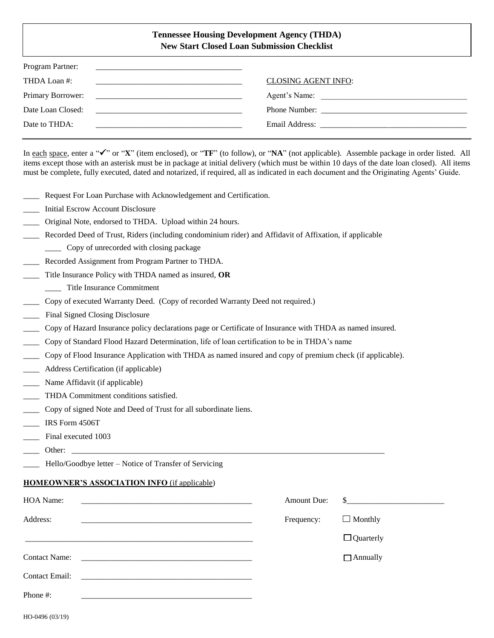### **Tennessee Housing Development Agency (THDA) New Start Closed Loan Submission Checklist**

| Program Partner:                                                                                                                                                                                                                                          |                            |
|-----------------------------------------------------------------------------------------------------------------------------------------------------------------------------------------------------------------------------------------------------------|----------------------------|
| THDA Loan #:                                                                                                                                                                                                                                              | <b>CLOSING AGENT INFO:</b> |
| Primary Borrower:<br><u> 1988 - Johann Harry Harry Harry Harry Harry Harry Harry Harry Harry Harry Harry Harry Harry Harry Harry Harry Harry Harry Harry Harry Harry Harry Harry Harry Harry Harry Harry Harry Harry Harry Harry Harry Harry Harry Ha</u> | Agent's Name:              |
| Date Loan Closed:<br><u> 1980 - Jan Barnett, mars ann an t-Amhraid ann an t-Amhraid ann an t-Amhraid ann an t-Amhraid ann an t-Amhraid ann an t-Amhraid ann an t-Amhraid ann an t-Amhraid ann an t-Amhraid ann an t-Amhraid ann an t-Amhraid ann an t</u> |                            |
| Date to THDA:                                                                                                                                                                                                                                             |                            |
|                                                                                                                                                                                                                                                           |                            |

In each space, enter a " $\checkmark$ " or "X" (item enclosed), or "TF" (to follow), or "NA" (not applicable). Assemble package in order listed. All items except those with an asterisk must be in package at initial delivery (which must be within 10 days of the date loan closed). All items must be complete, fully executed, dated and notarized, if required, all as indicated in each document and the Originating Agents' Guide.

- Request For Loan Purchase with Acknowledgement and Certification.
- \_\_\_\_ Initial Escrow Account Disclosure
- \_\_\_\_ Original Note, endorsed to THDA. Upload within 24 hours.
- Recorded Deed of Trust, Riders (including condominium rider) and Affidavit of Affixation, if applicable
- \_\_\_\_ Copy of unrecorded with closing package
- \_\_\_\_ Recorded Assignment from Program Partner to THDA.
- \_\_\_\_ Title Insurance Policy with THDA named as insured, **OR**
- \_\_\_\_ Title Insurance Commitment
- \_\_\_\_ Copy of executed Warranty Deed. (Copy of recorded Warranty Deed not required.)
- Final Signed Closing Disclosure
- \_\_\_\_ Copy of Hazard Insurance policy declarations page or Certificate of Insurance with THDA as named insured.
- \_\_\_\_ Copy of Standard Flood Hazard Determination, life of loan certification to be in THDA's name
- \_\_\_\_ Copy of Flood Insurance Application with THDA as named insured and copy of premium check (if applicable).
- Address Certification (if applicable)
- Name Affidavit (if applicable)
- \_\_\_\_ THDA Commitment conditions satisfied.
- \_\_\_\_ Copy of signed Note and Deed of Trust for all subordinate liens.
- \_\_\_\_ IRS Form 4506T
- Final executed 1003
- \_\_\_\_ Other: \_\_\_\_\_\_\_\_\_\_\_\_\_\_\_\_\_\_\_\_\_\_\_\_\_\_\_\_\_\_\_\_\_\_\_\_\_\_\_\_\_\_\_\_\_\_\_\_\_\_\_\_\_\_\_\_\_\_\_\_\_\_\_\_\_\_\_\_\_\_\_\_\_\_\_\_\_
- Hello/Goodbye letter Notice of Transfer of Servicing

#### **HOMEOWNER'S ASSOCIATION INFO** (if applicable)

| HOA Name:<br>and the state of the state of the state of the state of the state of the state of the state of the state of the | <b>Amount Due:</b> | $\sim$           |
|------------------------------------------------------------------------------------------------------------------------------|--------------------|------------------|
| Address:                                                                                                                     | Frequency:         | $\Box$ Monthly   |
|                                                                                                                              |                    | $\Box$ Quarterly |
| <b>Contact Name:</b>                                                                                                         |                    | $\Box$ Annually  |
| <b>Contact Email:</b>                                                                                                        |                    |                  |
| Phone #:                                                                                                                     |                    |                  |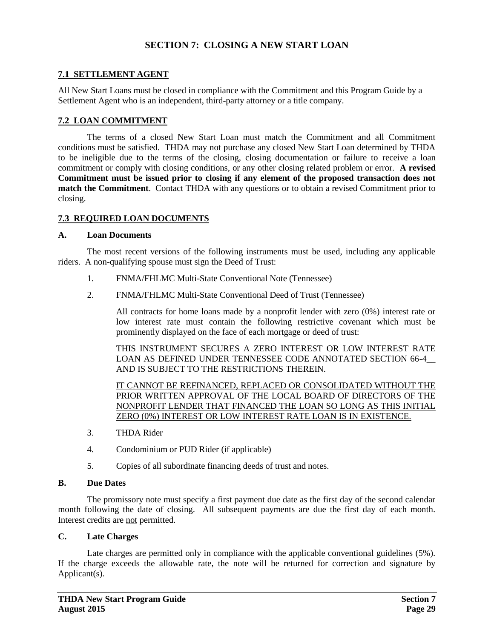## **SECTION 7: CLOSING A NEW START LOAN**

## **7.1 SETTLEMENT AGENT**

All New Start Loans must be closed in compliance with the Commitment and this Program Guide by a Settlement Agent who is an independent, third-party attorney or a title company.

### **7.2 LOAN COMMITMENT**

The terms of a closed New Start Loan must match the Commitment and all Commitment conditions must be satisfied. THDA may not purchase any closed New Start Loan determined by THDA to be ineligible due to the terms of the closing, closing documentation or failure to receive a loan commitment or comply with closing conditions, or any other closing related problem or error. **A revised Commitment must be issued prior to closing if any element of the proposed transaction does not match the Commitment**. Contact THDA with any questions or to obtain a revised Commitment prior to closing.

### **7.3 REQUIRED LOAN DOCUMENTS**

#### **A. Loan Documents**

The most recent versions of the following instruments must be used, including any applicable riders. A non-qualifying spouse must sign the Deed of Trust:

- 1. FNMA/FHLMC Multi-State Conventional Note (Tennessee)
- 2. FNMA/FHLMC Multi-State Conventional Deed of Trust (Tennessee)

All contracts for home loans made by a nonprofit lender with zero (0%) interest rate or low interest rate must contain the following restrictive covenant which must be prominently displayed on the face of each mortgage or deed of trust:

THIS INSTRUMENT SECURES A ZERO INTEREST OR LOW INTEREST RATE LOAN AS DEFINED UNDER TENNESSEE CODE ANNOTATED SECTION 66-4 AND IS SUBJECT TO THE RESTRICTIONS THEREIN.

IT CANNOT BE REFINANCED, REPLACED OR CONSOLIDATED WITHOUT THE PRIOR WRITTEN APPROVAL OF THE LOCAL BOARD OF DIRECTORS OF THE NONPROFIT LENDER THAT FINANCED THE LOAN SO LONG AS THIS INITIAL ZERO (0%) INTEREST OR LOW INTEREST RATE LOAN IS IN EXISTENCE.

- 3. THDA Rider
- 4. Condominium or PUD Rider (if applicable)
- 5. Copies of all subordinate financing deeds of trust and notes.

#### **B. Due Dates**

The promissory note must specify a first payment due date as the first day of the second calendar month following the date of closing. All subsequent payments are due the first day of each month. Interest credits are not permitted.

### **C. Late Charges**

Late charges are permitted only in compliance with the applicable conventional guidelines (5%). If the charge exceeds the allowable rate, the note will be returned for correction and signature by Applicant(s).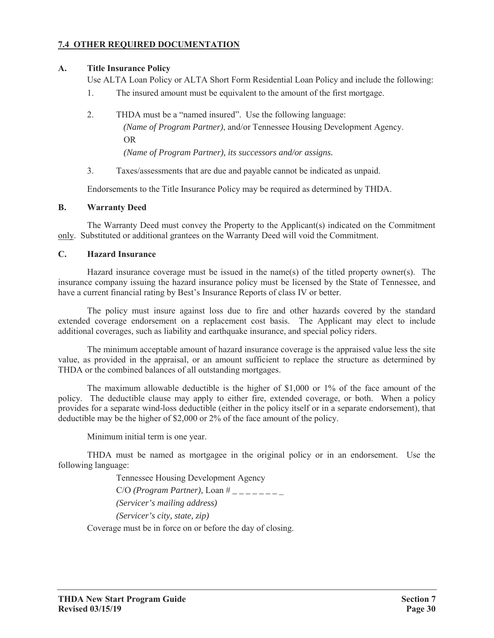# **7.4 OTHER REQUIRED DOCUMENTATION**

## **A. Title Insurance Policy**

Use ALTA Loan Policy or ALTA Short Form Residential Loan Policy and include the following:

- 1. The insured amount must be equivalent to the amount of the first mortgage.
- 2. THDA must be a "named insured". Use the following language: *(Name of Program Partner)*, and/or Tennessee Housing Development Agency. OR *(Name of Program Partner), its successors and/or assigns.*
- 3. Taxes/assessments that are due and payable cannot be indicated as unpaid.

Endorsements to the Title Insurance Policy may be required as determined by THDA.

## **B. Warranty Deed**

The Warranty Deed must convey the Property to the Applicant(s) indicated on the Commitment only. Substituted or additional grantees on the Warranty Deed will void the Commitment.

## **C. Hazard Insurance**

Hazard insurance coverage must be issued in the name(s) of the titled property owner(s). The insurance company issuing the hazard insurance policy must be licensed by the State of Tennessee, and have a current financial rating by Best's Insurance Reports of class IV or better.

The policy must insure against loss due to fire and other hazards covered by the standard extended coverage endorsement on a replacement cost basis. The Applicant may elect to include additional coverages, such as liability and earthquake insurance, and special policy riders.

The minimum acceptable amount of hazard insurance coverage is the appraised value less the site value, as provided in the appraisal, or an amount sufficient to replace the structure as determined by THDA or the combined balances of all outstanding mortgages.

The maximum allowable deductible is the higher of \$1,000 or 1% of the face amount of the policy. The deductible clause may apply to either fire, extended coverage, or both. When a policy provides for a separate wind-loss deductible (either in the policy itself or in a separate endorsement), that deductible may be the higher of \$2,000 or 2% of the face amount of the policy.

Minimum initial term is one year.

THDA must be named as mortgagee in the original policy or in an endorsement. Use the following language:

Tennessee Housing Development Agency

C/O *(Program Partner),* Loan # *\_ \_ \_ \_ \_ \_ \_* \_

*(Servicer's mailing address)*

*(Servicer's city, state, zip)*

Coverage must be in force on or before the day of closing.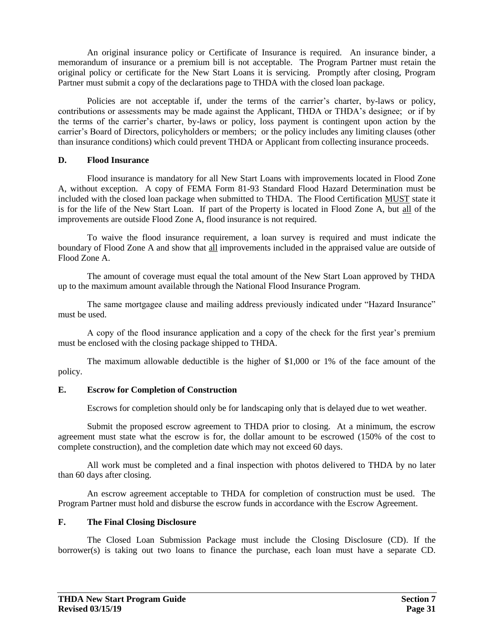An original insurance policy or Certificate of Insurance is required. An insurance binder, a memorandum of insurance or a premium bill is not acceptable. The Program Partner must retain the original policy or certificate for the New Start Loans it is servicing. Promptly after closing, Program Partner must submit a copy of the declarations page to THDA with the closed loan package.

Policies are not acceptable if, under the terms of the carrier's charter, by-laws or policy, contributions or assessments may be made against the Applicant, THDA or THDA's designee; or if by the terms of the carrier's charter, by-laws or policy, loss payment is contingent upon action by the carrier's Board of Directors, policyholders or members; or the policy includes any limiting clauses (other than insurance conditions) which could prevent THDA or Applicant from collecting insurance proceeds.

## **D. Flood Insurance**

Flood insurance is mandatory for all New Start Loans with improvements located in Flood Zone A, without exception. A copy of FEMA Form 81-93 Standard Flood Hazard Determination must be included with the closed loan package when submitted to THDA. The Flood Certification MUST state it is for the life of the New Start Loan. If part of the Property is located in Flood Zone A, but all of the improvements are outside Flood Zone A, flood insurance is not required.

To waive the flood insurance requirement, a loan survey is required and must indicate the boundary of Flood Zone A and show that all improvements included in the appraised value are outside of Flood Zone A.

The amount of coverage must equal the total amount of the New Start Loan approved by THDA up to the maximum amount available through the National Flood Insurance Program.

The same mortgagee clause and mailing address previously indicated under "Hazard Insurance" must be used.

A copy of the flood insurance application and a copy of the check for the first year's premium must be enclosed with the closing package shipped to THDA.

The maximum allowable deductible is the higher of \$1,000 or 1% of the face amount of the policy.

## **E. Escrow for Completion of Construction**

Escrows for completion should only be for landscaping only that is delayed due to wet weather.

Submit the proposed escrow agreement to THDA prior to closing. At a minimum, the escrow agreement must state what the escrow is for, the dollar amount to be escrowed (150% of the cost to complete construction), and the completion date which may not exceed 60 days.

All work must be completed and a final inspection with photos delivered to THDA by no later than 60 days after closing.

An escrow agreement acceptable to THDA for completion of construction must be used. The Program Partner must hold and disburse the escrow funds in accordance with the Escrow Agreement.

## **F. The Final Closing Disclosure**

The Closed Loan Submission Package must include the Closing Disclosure (CD). If the borrower(s) is taking out two loans to finance the purchase, each loan must have a separate CD.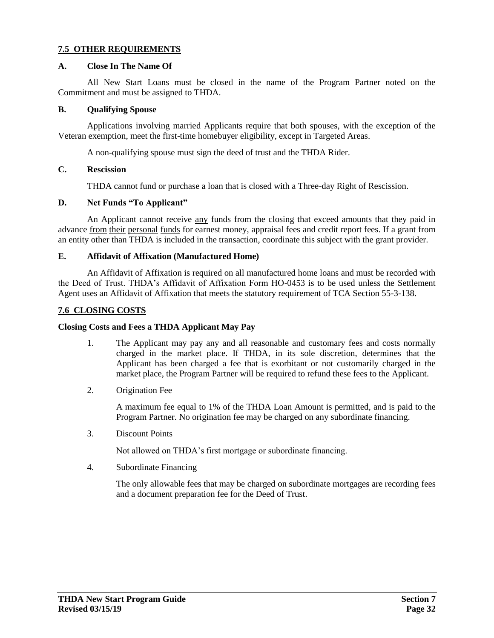## **7.5 OTHER REQUIREMENTS**

### **A. Close In The Name Of**

All New Start Loans must be closed in the name of the Program Partner noted on the Commitment and must be assigned to THDA.

#### **B. Qualifying Spouse**

Applications involving married Applicants require that both spouses, with the exception of the Veteran exemption, meet the first-time homebuyer eligibility, except in Targeted Areas.

A non-qualifying spouse must sign the deed of trust and the THDA Rider.

## **C. Rescission**

THDA cannot fund or purchase a loan that is closed with a Three-day Right of Rescission.

### **D. Net Funds "To Applicant"**

An Applicant cannot receive any funds from the closing that exceed amounts that they paid in advance from their personal funds for earnest money, appraisal fees and credit report fees. If a grant from an entity other than THDA is included in the transaction, coordinate this subject with the grant provider.

### **E. Affidavit of Affixation (Manufactured Home)**

An Affidavit of Affixation is required on all manufactured home loans and must be recorded with the Deed of Trust. THDA's Affidavit of Affixation Form HO-0453 is to be used unless the Settlement Agent uses an Affidavit of Affixation that meets the statutory requirement of TCA Section 55-3-138.

## **7.6 CLOSING COSTS**

#### **Closing Costs and Fees a THDA Applicant May Pay**

- 1. The Applicant may pay any and all reasonable and customary fees and costs normally charged in the market place. If THDA, in its sole discretion, determines that the Applicant has been charged a fee that is exorbitant or not customarily charged in the market place, the Program Partner will be required to refund these fees to the Applicant.
- 2. Origination Fee

A maximum fee equal to 1% of the THDA Loan Amount is permitted, and is paid to the Program Partner. No origination fee may be charged on any subordinate financing.

3. Discount Points

Not allowed on THDA's first mortgage or subordinate financing.

4. Subordinate Financing

The only allowable fees that may be charged on subordinate mortgages are recording fees and a document preparation fee for the Deed of Trust.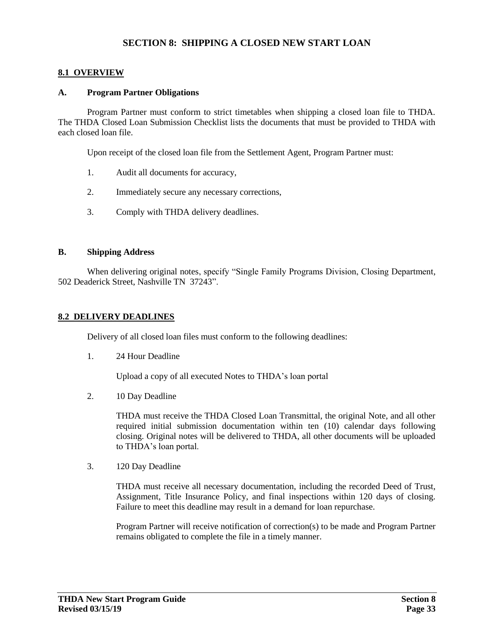## **SECTION 8: SHIPPING A CLOSED NEW START LOAN**

### **8.1 OVERVIEW**

#### **A. Program Partner Obligations**

Program Partner must conform to strict timetables when shipping a closed loan file to THDA. The THDA Closed Loan Submission Checklist lists the documents that must be provided to THDA with each closed loan file.

Upon receipt of the closed loan file from the Settlement Agent, Program Partner must:

- 1. Audit all documents for accuracy,
- 2. Immediately secure any necessary corrections,
- 3. Comply with THDA delivery deadlines.

### **B. Shipping Address**

When delivering original notes, specify "Single Family Programs Division, Closing Department, 502 Deaderick Street, Nashville TN 37243".

### **8.2 DELIVERY DEADLINES**

Delivery of all closed loan files must conform to the following deadlines:

1. 24 Hour Deadline

Upload a copy of all executed Notes to THDA's loan portal

2. 10 Day Deadline

THDA must receive the THDA Closed Loan Transmittal, the original Note, and all other required initial submission documentation within ten (10) calendar days following closing. Original notes will be delivered to THDA, all other documents will be uploaded to THDA's loan portal.

3. 120 Day Deadline

THDA must receive all necessary documentation, including the recorded Deed of Trust, Assignment, Title Insurance Policy, and final inspections within 120 days of closing. Failure to meet this deadline may result in a demand for loan repurchase.

Program Partner will receive notification of correction(s) to be made and Program Partner remains obligated to complete the file in a timely manner.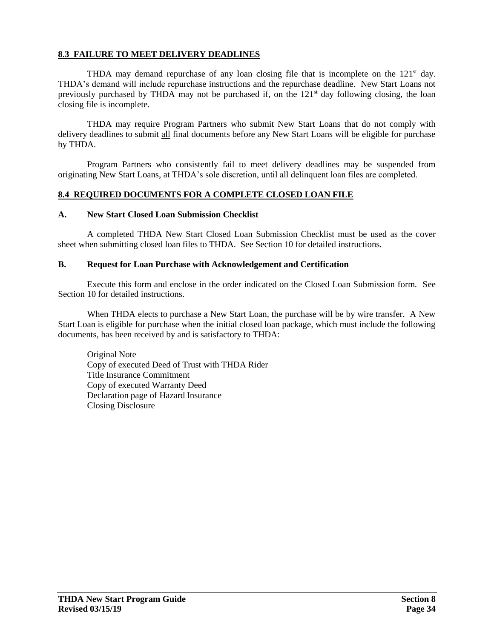## **8.3 FAILURE TO MEET DELIVERY DEADLINES**

THDA may demand repurchase of any loan closing file that is incomplete on the 121<sup>st</sup> day. THDA's demand will include repurchase instructions and the repurchase deadline. New Start Loans not previously purchased by THDA may not be purchased if, on the 121<sup>st</sup> day following closing, the loan closing file is incomplete.

THDA may require Program Partners who submit New Start Loans that do not comply with delivery deadlines to submit all final documents before any New Start Loans will be eligible for purchase by THDA.

Program Partners who consistently fail to meet delivery deadlines may be suspended from originating New Start Loans, at THDA's sole discretion, until all delinquent loan files are completed.

## **8.4 REQUIRED DOCUMENTS FOR A COMPLETE CLOSED LOAN FILE**

#### **A. New Start Closed Loan Submission Checklist**

A completed THDA New Start Closed Loan Submission Checklist must be used as the cover sheet when submitting closed loan files to THDA. See Section 10 for detailed instructions.

#### **B. Request for Loan Purchase with Acknowledgement and Certification**

Execute this form and enclose in the order indicated on the Closed Loan Submission form. See Section 10 for detailed instructions.

When THDA elects to purchase a New Start Loan, the purchase will be by wire transfer. A New Start Loan is eligible for purchase when the initial closed loan package, which must include the following documents, has been received by and is satisfactory to THDA:

Original Note Copy of executed Deed of Trust with THDA Rider Title Insurance Commitment Copy of executed Warranty Deed Declaration page of Hazard Insurance Closing Disclosure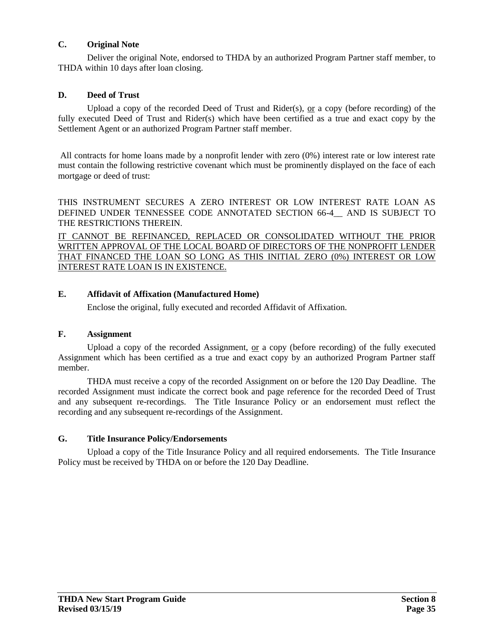## **C. Original Note**

Deliver the original Note, endorsed to THDA by an authorized Program Partner staff member, to THDA within 10 days after loan closing.

## **D. Deed of Trust**

Upload a copy of the recorded Deed of Trust and Rider(s), or a copy (before recording) of the fully executed Deed of Trust and Rider(s) which have been certified as a true and exact copy by the Settlement Agent or an authorized Program Partner staff member.

All contracts for home loans made by a nonprofit lender with zero (0%) interest rate or low interest rate must contain the following restrictive covenant which must be prominently displayed on the face of each mortgage or deed of trust:

THIS INSTRUMENT SECURES A ZERO INTEREST OR LOW INTEREST RATE LOAN AS DEFINED UNDER TENNESSEE CODE ANNOTATED SECTION 66-4\_\_ AND IS SUBJECT TO THE RESTRICTIONS THEREIN.

IT CANNOT BE REFINANCED, REPLACED OR CONSOLIDATED WITHOUT THE PRIOR WRITTEN APPROVAL OF THE LOCAL BOARD OF DIRECTORS OF THE NONPROFIT LENDER THAT FINANCED THE LOAN SO LONG AS THIS INITIAL ZERO (0%) INTEREST OR LOW INTEREST RATE LOAN IS IN EXISTENCE.

## **E. Affidavit of Affixation (Manufactured Home)**

Enclose the original, fully executed and recorded Affidavit of Affixation.

## **F. Assignment**

Upload a copy of the recorded Assignment, or a copy (before recording) of the fully executed Assignment which has been certified as a true and exact copy by an authorized Program Partner staff member.

THDA must receive a copy of the recorded Assignment on or before the 120 Day Deadline. The recorded Assignment must indicate the correct book and page reference for the recorded Deed of Trust and any subsequent re-recordings. The Title Insurance Policy or an endorsement must reflect the recording and any subsequent re-recordings of the Assignment.

## **G. Title Insurance Policy/Endorsements**

Upload a copy of the Title Insurance Policy and all required endorsements. The Title Insurance Policy must be received by THDA on or before the 120 Day Deadline.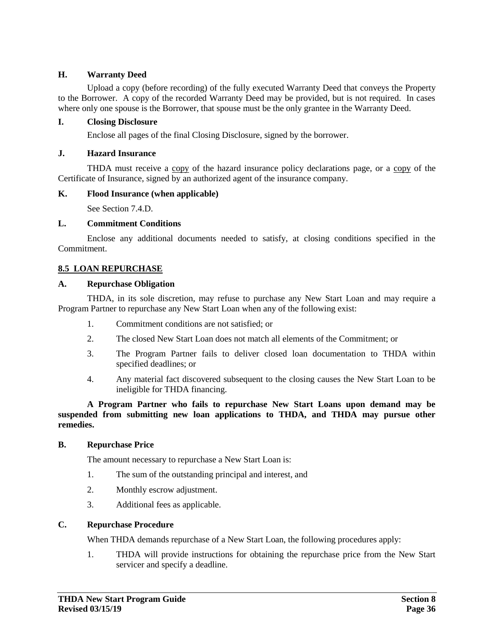## **H. Warranty Deed**

Upload a copy (before recording) of the fully executed Warranty Deed that conveys the Property to the Borrower. A copy of the recorded Warranty Deed may be provided, but is not required. In cases where only one spouse is the Borrower, that spouse must be the only grantee in the Warranty Deed.

## **I. Closing Disclosure**

Enclose all pages of the final Closing Disclosure, signed by the borrower.

## **J. Hazard Insurance**

THDA must receive a copy of the hazard insurance policy declarations page, or a copy of the Certificate of Insurance, signed by an authorized agent of the insurance company.

## **K. Flood Insurance (when applicable)**

See Section 7.4.D.

## **L. Commitment Conditions**

Enclose any additional documents needed to satisfy, at closing conditions specified in the Commitment.

## **8.5 LOAN REPURCHASE**

### **A. Repurchase Obligation**

THDA, in its sole discretion, may refuse to purchase any New Start Loan and may require a Program Partner to repurchase any New Start Loan when any of the following exist:

- 1. Commitment conditions are not satisfied; or
- 2. The closed New Start Loan does not match all elements of the Commitment; or
- 3. The Program Partner fails to deliver closed loan documentation to THDA within specified deadlines; or
- 4. Any material fact discovered subsequent to the closing causes the New Start Loan to be ineligible for THDA financing.

**A Program Partner who fails to repurchase New Start Loans upon demand may be suspended from submitting new loan applications to THDA, and THDA may pursue other remedies.**

#### **B. Repurchase Price**

The amount necessary to repurchase a New Start Loan is:

- 1. The sum of the outstanding principal and interest, and
- 2. Monthly escrow adjustment.
- 3. Additional fees as applicable.

#### **C. Repurchase Procedure**

When THDA demands repurchase of a New Start Loan, the following procedures apply:

1. THDA will provide instructions for obtaining the repurchase price from the New Start servicer and specify a deadline.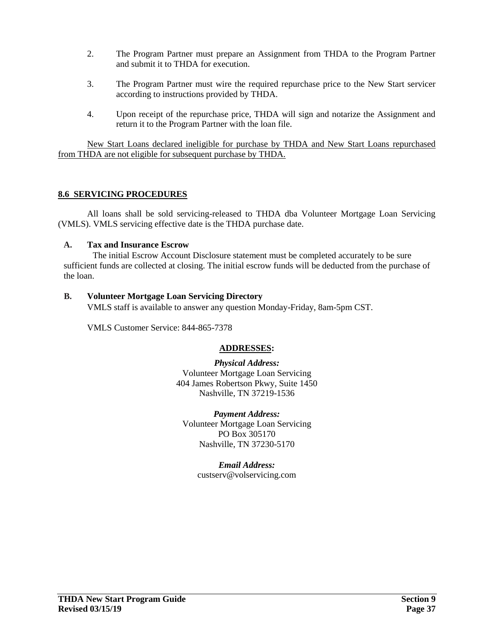- 2. The Program Partner must prepare an Assignment from THDA to the Program Partner and submit it to THDA for execution.
- 3. The Program Partner must wire the required repurchase price to the New Start servicer according to instructions provided by THDA.
- 4. Upon receipt of the repurchase price, THDA will sign and notarize the Assignment and return it to the Program Partner with the loan file.

New Start Loans declared ineligible for purchase by THDA and New Start Loans repurchased from THDA are not eligible for subsequent purchase by THDA.

## **8.6 SERVICING PROCEDURES**

All loans shall be sold servicing-released to THDA dba Volunteer Mortgage Loan Servicing (VMLS). VMLS servicing effective date is the THDA purchase date.

### **A. Tax and Insurance Escrow**

The initial Escrow Account Disclosure statement must be completed accurately to be sure sufficient funds are collected at closing. The initial escrow funds will be deducted from the purchase of the loan.

### **B. Volunteer Mortgage Loan Servicing Directory**

VMLS staff is available to answer any question Monday-Friday, 8am-5pm CST.

VMLS Customer Service: 844-865-7378

## **ADDRESSES:**

*Physical Address:* Volunteer Mortgage Loan Servicing 404 James Robertson Pkwy, Suite 1450 Nashville, TN 37219-1536

*Payment Address:* Volunteer Mortgage Loan Servicing PO Box 305170 Nashville, TN 37230-5170

> *Email Address:* custserv@volservicing.com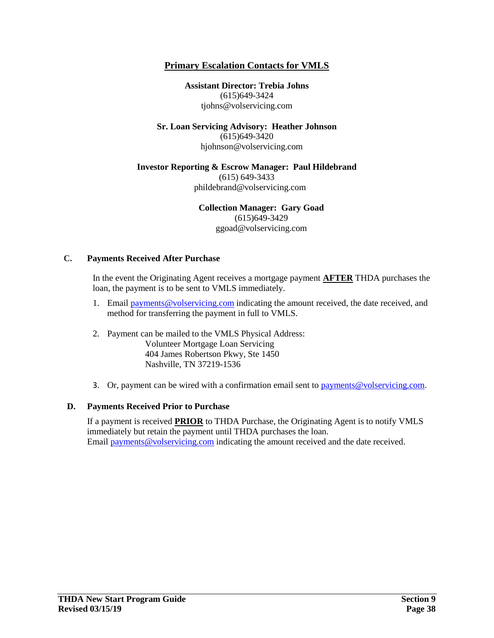## **Primary Escalation Contacts for VMLS**

**Assistant Director: Trebia Johns** (615)649-3424 tjohns@volservicing.com

**Sr. Loan Servicing Advisory: Heather Johnson** (615)649-3420 hjohnson@volservicing.com

#### **Investor Reporting & Escrow Manager: Paul Hildebrand**

(615) 649-3433 phildebrand@volservicing.com

**Collection Manager: Gary Goad**

(615)649-3429 ggoad@volservicing.com

#### **C. Payments Received After Purchase**

In the event the Originating Agent receives a mortgage payment **AFTER** THDA purchases the loan, the payment is to be sent to VMLS immediately.

- 1. Email payments@volservicing.com indicating the amount received, the date received, and method for transferring the payment in full to VMLS.
- 2. Payment can be mailed to the VMLS Physical Address: Volunteer Mortgage Loan Servicing 404 James Robertson Pkwy, Ste 1450 Nashville, TN 37219-1536
- 3. Or, payment can be wired with a confirmation email sent to  $\frac{1}{2}$  algebraic payments  $\frac{1}{2}$  consistences.

## **D. Payments Received Prior to Purchase**

If a payment is received **PRIOR** to THDA Purchase, the Originating Agent is to notify VMLS immediately but retain the payment until THDA purchases the loan. Email [payments@volservicing.com](mailto:payments@volservicing.com) indicating the amount received and the date received.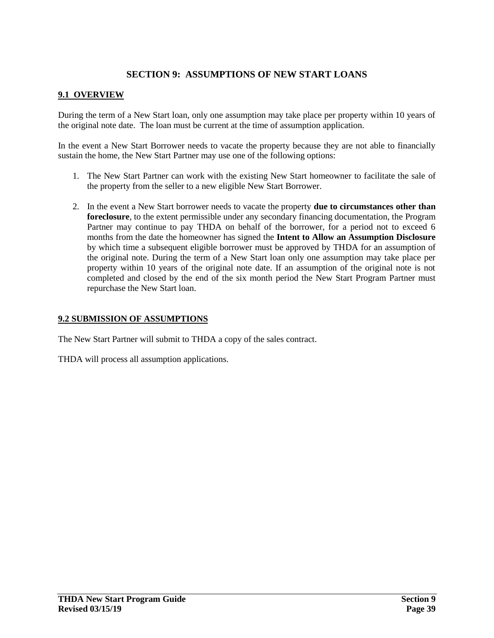# **SECTION 9: ASSUMPTIONS OF NEW START LOANS**

## **9.1 OVERVIEW**

During the term of a New Start loan, only one assumption may take place per property within 10 years of the original note date. The loan must be current at the time of assumption application.

In the event a New Start Borrower needs to vacate the property because they are not able to financially sustain the home, the New Start Partner may use one of the following options:

- 1. The New Start Partner can work with the existing New Start homeowner to facilitate the sale of the property from the seller to a new eligible New Start Borrower.
- 2. In the event a New Start borrower needs to vacate the property **due to circumstances other than foreclosure**, to the extent permissible under any secondary financing documentation, the Program Partner may continue to pay THDA on behalf of the borrower, for a period not to exceed 6 months from the date the homeowner has signed the **Intent to Allow an Assumption Disclosure** by which time a subsequent eligible borrower must be approved by THDA for an assumption of the original note. During the term of a New Start loan only one assumption may take place per property within 10 years of the original note date. If an assumption of the original note is not completed and closed by the end of the six month period the New Start Program Partner must repurchase the New Start loan.

## **9.2 SUBMISSION OF ASSUMPTIONS**

The New Start Partner will submit to THDA a copy of the sales contract.

THDA will process all assumption applications.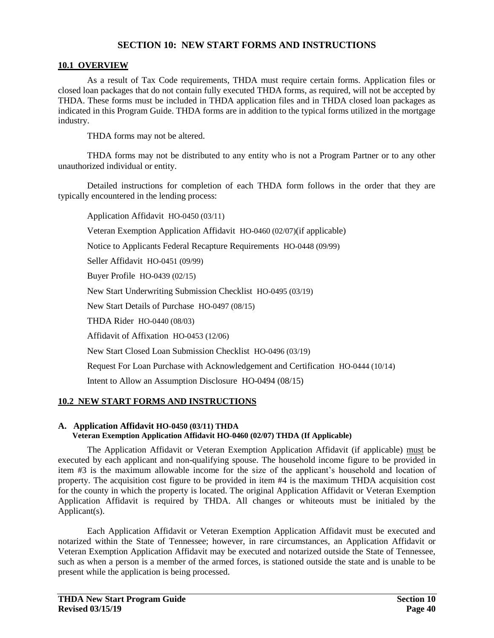## **SECTION 10: NEW START FORMS AND INSTRUCTIONS**

### **10.1 OVERVIEW**

As a result of Tax Code requirements, THDA must require certain forms. Application files or closed loan packages that do not contain fully executed THDA forms, as required, will not be accepted by THDA. These forms must be included in THDA application files and in THDA closed loan packages as indicated in this Program Guide. THDA forms are in addition to the typical forms utilized in the mortgage industry.

THDA forms may not be altered.

THDA forms may not be distributed to any entity who is not a Program Partner or to any other unauthorized individual or entity.

Detailed instructions for completion of each THDA form follows in the order that they are typically encountered in the lending process:

Application Affidavit HO-0450 (03/11)

Veteran Exemption Application Affidavit HO-0460 (02/07)(if applicable)

Notice to Applicants Federal Recapture Requirements HO-0448 (09/99)

Seller Affidavit HO-0451 (09/99)

Buyer Profile HO-0439 (02/15)

New Start Underwriting Submission Checklist HO-0495 (03/19)

New Start Details of Purchase HO-0497 (08/15)

THDA Rider HO-0440 (08/03)

Affidavit of Affixation HO-0453 (12/06)

New Start Closed Loan Submission Checklist HO-0496 (03/19)

Request For Loan Purchase with Acknowledgement and Certification HO-0444 (10/14)

Intent to Allow an Assumption Disclosure HO-0494 (08/15)

## **10.2 NEW START FORMS AND INSTRUCTIONS**

#### **A. Application Affidavit HO-0450 (03/11) THDA Veteran Exemption Application Affidavit HO-0460 (02/07) THDA (If Applicable)**

The Application Affidavit or Veteran Exemption Application Affidavit (if applicable) must be executed by each applicant and non-qualifying spouse. The household income figure to be provided in item #3 is the maximum allowable income for the size of the applicant's household and location of property. The acquisition cost figure to be provided in item #4 is the maximum THDA acquisition cost for the county in which the property is located. The original Application Affidavit or Veteran Exemption Application Affidavit is required by THDA. All changes or whiteouts must be initialed by the Applicant(s).

Each Application Affidavit or Veteran Exemption Application Affidavit must be executed and notarized within the State of Tennessee; however, in rare circumstances, an Application Affidavit or Veteran Exemption Application Affidavit may be executed and notarized outside the State of Tennessee, such as when a person is a member of the armed forces, is stationed outside the state and is unable to be present while the application is being processed.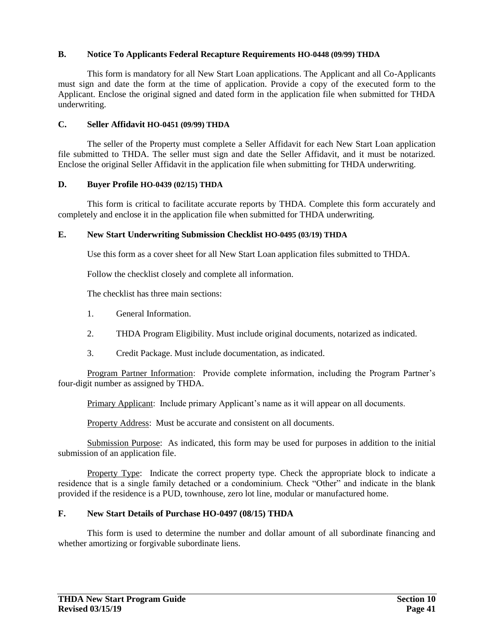## **B. Notice To Applicants Federal Recapture Requirements HO-0448 (09/99) THDA**

This form is mandatory for all New Start Loan applications. The Applicant and all Co-Applicants must sign and date the form at the time of application. Provide a copy of the executed form to the Applicant. Enclose the original signed and dated form in the application file when submitted for THDA underwriting.

#### **C. Seller Affidavit HO-0451 (09/99) THDA**

The seller of the Property must complete a Seller Affidavit for each New Start Loan application file submitted to THDA. The seller must sign and date the Seller Affidavit, and it must be notarized. Enclose the original Seller Affidavit in the application file when submitting for THDA underwriting.

### **D. Buyer Profile HO-0439 (02/15) THDA**

This form is critical to facilitate accurate reports by THDA. Complete this form accurately and completely and enclose it in the application file when submitted for THDA underwriting.

### **E. New Start Underwriting Submission Checklist HO-0495 (03/19) THDA**

Use this form as a cover sheet for all New Start Loan application files submitted to THDA.

Follow the checklist closely and complete all information.

The checklist has three main sections:

- 1. General Information.
- 2. THDA Program Eligibility. Must include original documents, notarized as indicated.
- 3. Credit Package. Must include documentation, as indicated.

Program Partner Information: Provide complete information, including the Program Partner's four-digit number as assigned by THDA.

Primary Applicant: Include primary Applicant's name as it will appear on all documents.

Property Address: Must be accurate and consistent on all documents.

Submission Purpose: As indicated, this form may be used for purposes in addition to the initial submission of an application file.

Property Type: Indicate the correct property type. Check the appropriate block to indicate a residence that is a single family detached or a condominium. Check "Other" and indicate in the blank provided if the residence is a PUD, townhouse, zero lot line, modular or manufactured home.

## **F. New Start Details of Purchase HO-0497 (08/15) THDA**

This form is used to determine the number and dollar amount of all subordinate financing and whether amortizing or forgivable subordinate liens.